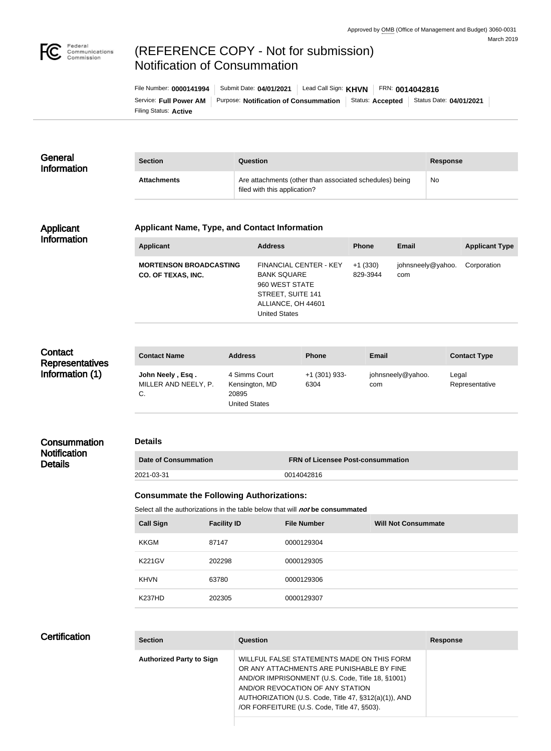

# (REFERENCE COPY - Not for submission) Notification of Consummation

Filing Status: **Active** Service: Full Power AM | Purpose: Notification of Consummation | Status: Accepted | Status Date: 04/01/2021 File Number: **0000141994** | Submit Date: **04/01/2021** | Lead Call Sign: **KHVN** | FRN: **0014042816** 

| General<br><b>Information</b> | <b>Section</b>     | Question                                                                                | <b>Response</b> |
|-------------------------------|--------------------|-----------------------------------------------------------------------------------------|-----------------|
|                               | <b>Attachments</b> | Are attachments (other than associated schedules) being<br>filed with this application? | <b>No</b>       |

#### Applicant Information

#### **Applicant Name, Type, and Contact Information**

| <b>Applicant</b>                                           | <b>Address</b>                                                                                                                    | <b>Phone</b>          | Email                    | <b>Applicant Type</b> |
|------------------------------------------------------------|-----------------------------------------------------------------------------------------------------------------------------------|-----------------------|--------------------------|-----------------------|
| <b>MORTENSON BROADCASTING</b><br><b>CO. OF TEXAS, INC.</b> | FINANCIAL CENTER - KEY<br><b>BANK SQUARE</b><br>960 WEST STATE<br>STREET, SUITE 141<br>ALLIANCE, OH 44601<br><b>United States</b> | $+1(330)$<br>829-3944 | johnsneely@yahoo.<br>com | Corporation           |

# **Contact Representatives** Information (1)

**Consummation Notification** 

**Details** 

| <b>Contact Name</b>                            | <b>Address</b>                                                   | <b>Phone</b>          | Email                    | <b>Contact Type</b>     |
|------------------------------------------------|------------------------------------------------------------------|-----------------------|--------------------------|-------------------------|
| John Neely, Esq.<br>MILLER AND NEELY, P.<br>C. | 4 Simms Court<br>Kensington, MD<br>20895<br><b>United States</b> | +1 (301) 933-<br>6304 | johnsneely@yahoo.<br>com | Legal<br>Representative |

## **Details**

| <b>Date of Consummation</b> | <b>ERN of Licensee Post-consummation</b> |
|-----------------------------|------------------------------------------|
| 2021-03-31                  | 0014042816                               |

### **Consummate the Following Authorizations:**

Select all the authorizations in the table below that will **not** be consummated

| <b>Call Sign</b> | <b>Facility ID</b> | <b>File Number</b> | <b>Will Not Consummate</b> |
|------------------|--------------------|--------------------|----------------------------|
| KKGM             | 87147              | 0000129304         |                            |
| <b>K221GV</b>    | 202298             | 0000129305         |                            |
| <b>KHVN</b>      | 63780              | 0000129306         |                            |
| <b>K237HD</b>    | 202305             | 0000129307         |                            |

# **Certification**

| <b>Section</b>                  | Question                                                                                                                                                                                                                                                                               | <b>Response</b> |
|---------------------------------|----------------------------------------------------------------------------------------------------------------------------------------------------------------------------------------------------------------------------------------------------------------------------------------|-----------------|
| <b>Authorized Party to Sign</b> | WILLFUL FALSE STATEMENTS MADE ON THIS FORM<br>OR ANY ATTACHMENTS ARE PUNISHABLE BY FINE<br>AND/OR IMPRISONMENT (U.S. Code, Title 18, §1001)<br>AND/OR REVOCATION OF ANY STATION<br>AUTHORIZATION (U.S. Code, Title 47, §312(a)(1)), AND<br>/OR FORFEITURE (U.S. Code, Title 47, §503). |                 |